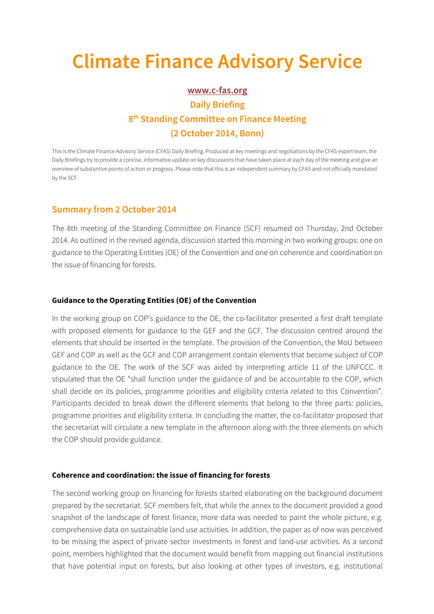# **Climate Finance Advisory Service**

## **www.c-fas.org Daily Briefing 8th Standing Committee on Finance Meeting (2 October 2014, Bonn)**

This is the Climate Finance Advisory Service (CFAS) Daily Briefing. Produced at key meetings and negotiations by the CFAS expert team, the Daily Briefings try to provide a concise, informative update on key discussions that have taken place at each day of the meeting and give an overview of substantive points of action or progress. Please note that this is an independent summary by CFAS and not officially mandated by the SCF.

## **Summary from 2 October 2014**

The 8th meeting of the Standing Committee on Finance (SCF) resumed on Thursday, 2nd October 2014. As outlined in the revised agenda, discussion started this morning in two working groups: one on guidance to the Operating Entities (OE) of the Convention and one on coherence and coordination on the issue of financing for forests.

## **Guidance to the Operating Entities (OE) of the Convention**

In the working group on COP's guidance to the OE, the co-facilitator presented a first draft template with proposed elements for guidance to the GEF and the GCF. The discussion centred around the elements that should be inserted in the template. The provision of the Convention, the MoU between GEF and COP as well as the GCF and COP arrangement contain elements that become subject of COP guidance to the OE. The work of the SCF was aided by interpreting article 11 of the UNFCCC. It stipulated that the OE "shall function under the guidance of and be accountable to the COP, which shall decide on its policies, programme priorities and eligibility criteria related to this Convention". Participants decided to break down the different elements that belong to the three parts: policies, programme priorities and eligibility criteria. In concluding the matter, the co-facilitator proposed that the secretariat will circulate a new template in the afternoon along with the three elements on which the COP should provide guidance.

## **Coherence and coordination: the issue of financing for forests**

The second working group on financing for forests started elaborating on the background document prepared by the secretariat. SCF members felt, that while the annex to the document provided a good snapshot of the landscape of forest finance, more data was needed to paint the whole picture, e.g. comprehensive data on sustainable land use activities. In addition, the paper as of now was perceived to be missing the aspect of private sector investments in forest and land-use activities. As a second point, members highlighted that the document would benefit from mapping out financial institutions that have potential input on forests, but also looking at other types of investors, e.g. institutional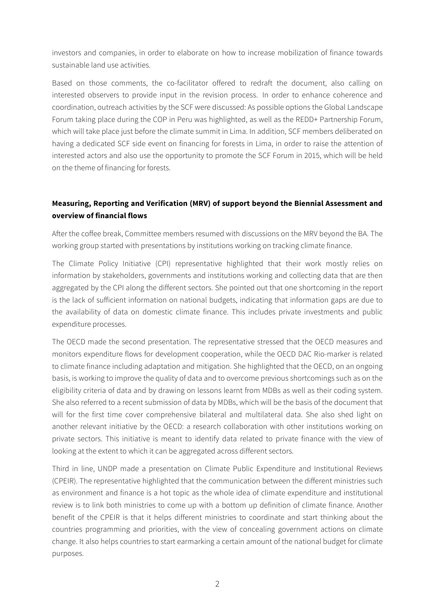investors and companies, in order to elaborate on how to increase mobilization of finance towards sustainable land use activities.

Based on those comments, the co-facilitator offered to redraft the document, also calling on interested observers to provide input in the revision process. In order to enhance coherence and coordination, outreach activities by the SCF were discussed: As possible options the Global Landscape Forum taking place during the COP in Peru was highlighted, as well as the REDD+ Partnership Forum, which will take place just before the climate summit in Lima. In addition, SCF members deliberated on having a dedicated SCF side event on financing for forests in Lima, in order to raise the attention of interested actors and also use the opportunity to promote the SCF Forum in 2015, which will be held on the theme of financing for forests.

## **Measuring, Reporting and Verification (MRV) of support beyond the Biennial Assessment and overview of financial flows**

After the coffee break, Committee members resumed with discussions on the MRV beyond the BA. The working group started with presentations by institutions working on tracking climate finance.

The Climate Policy Initiative (CPI) representative highlighted that their work mostly relies on information by stakeholders, governments and institutions working and collecting data that are then aggregated by the CPI along the different sectors. She pointed out that one shortcoming in the report is the lack of sufficient information on national budgets, indicating that information gaps are due to the availability of data on domestic climate finance. This includes private investments and public expenditure processes.

The OECD made the second presentation. The representative stressed that the OECD measures and monitors expenditure flows for development cooperation, while the OECD DAC Rio-marker is related to climate finance including adaptation and mitigation. She highlighted that the OECD, on an ongoing basis, is working to improve the quality of data and to overcome previous shortcomings such as on the eligibility criteria of data and by drawing on lessons learnt from MDBs as well as their coding system. She also referred to a recent submission of data by MDBs, which will be the basis of the document that will for the first time cover comprehensive bilateral and multilateral data. She also shed light on another relevant initiative by the OECD: a research collaboration with other institutions working on private sectors. This initiative is meant to identify data related to private finance with the view of looking at the extent to which it can be aggregated across different sectors.

Third in line, UNDP made a presentation on Climate Public Expenditure and Institutional Reviews (CPEIR). The representative highlighted that the communication between the different ministries such as environment and finance is a hot topic as the whole idea of climate expenditure and institutional review is to link both ministries to come up with a bottom up definition of climate finance. Another benefit of the CPEIR is that it helps different ministries to coordinate and start thinking about the countries programming and priorities, with the view of concealing government actions on climate change. It also helps countries to start earmarking a certain amount of the national budget for climate purposes.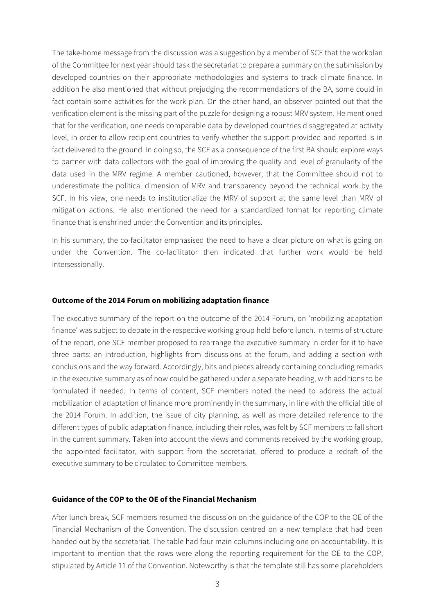The take-home message from the discussion was a suggestion by a member of SCF that the workplan of the Committee for next year should task the secretariat to prepare a summary on the submission by developed countries on their appropriate methodologies and systems to track climate finance. In addition he also mentioned that without prejudging the recommendations of the BA, some could in fact contain some activities for the work plan. On the other hand, an observer pointed out that the verification element is the missing part of the puzzle for designing a robust MRV system. He mentioned that for the verification, one needs comparable data by developed countries disaggregated at activity level, in order to allow recipient countries to verify whether the support provided and reported is in fact delivered to the ground. In doing so, the SCF as a consequence of the first BA should explore ways to partner with data collectors with the goal of improving the quality and level of granularity of the data used in the MRV regime. A member cautioned, however, that the Committee should not to underestimate the political dimension of MRV and transparency beyond the technical work by the SCF. In his view, one needs to institutionalize the MRV of support at the same level than MRV of mitigation actions. He also mentioned the need for a standardized format for reporting climate finance that is enshrined under the Convention and its principles.

In his summary, the co-facilitator emphasised the need to have a clear picture on what is going on under the Convention. The co-facilitator then indicated that further work would be held intersessionally.

## **Outcome of the 2014 Forum on mobilizing adaptation finance**

The executive summary of the report on the outcome of the 2014 Forum, on 'mobilizing adaptation finance' was subject to debate in the respective working group held before lunch. In terms of structure of the report, one SCF member proposed to rearrange the executive summary in order for it to have three parts: an introduction, highlights from discussions at the forum, and adding a section with conclusions and the way forward. Accordingly, bits and pieces already containing concluding remarks in the executive summary as of now could be gathered under a separate heading, with additions to be formulated if needed. In terms of content, SCF members noted the need to address the actual mobilization of adaptation of finance more prominently in the summary, in line with the official title of the 2014 Forum. In addition, the issue of city planning, as well as more detailed reference to the different types of public adaptation finance, including their roles, was felt by SCF members to fall short in the current summary. Taken into account the views and comments received by the working group, the appointed facilitator, with support from the secretariat, offered to produce a redraft of the executive summary to be circulated to Committee members.

### **Guidance of the COP to the OE of the Financial Mechanism**

After lunch break, SCF members resumed the discussion on the guidance of the COP to the OE of the Financial Mechanism of the Convention. The discussion centred on a new template that had been handed out by the secretariat. The table had four main columns including one on accountability. It is important to mention that the rows were along the reporting requirement for the OE to the COP, stipulated by Article 11 of the Convention. Noteworthy is that the template still has some placeholders